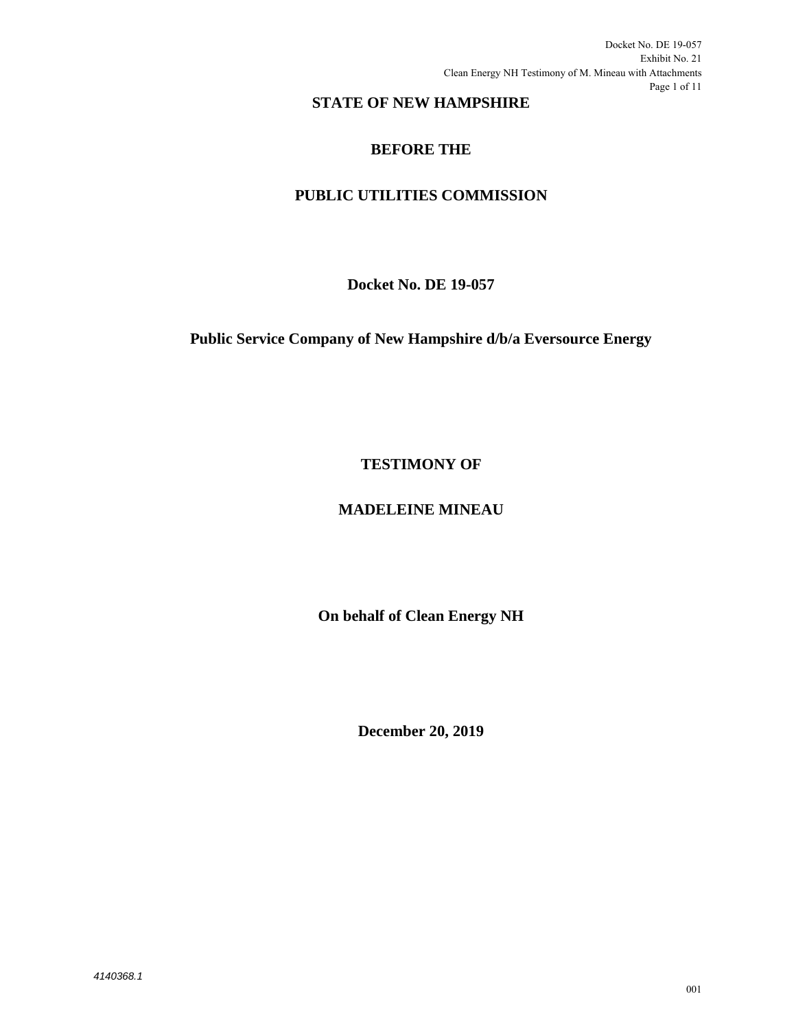Docket No. DE 19-057 Exhibit No. 21 Clean Energy NH Testimony of M. Mineau with Attachments Page 1 of 11

# **STATE OF NEW HAMPSHIRE**

# **BEFORE THE**

# **PUBLIC UTILITIES COMMISSION**

**Docket No. DE 19-057** 

**Public Service Company of New Hampshire d/b/a Eversource Energy** 

**TESTIMONY OF** 

# **MADELEINE MINEAU**

**On behalf of Clean Energy NH** 

**December 20, 2019**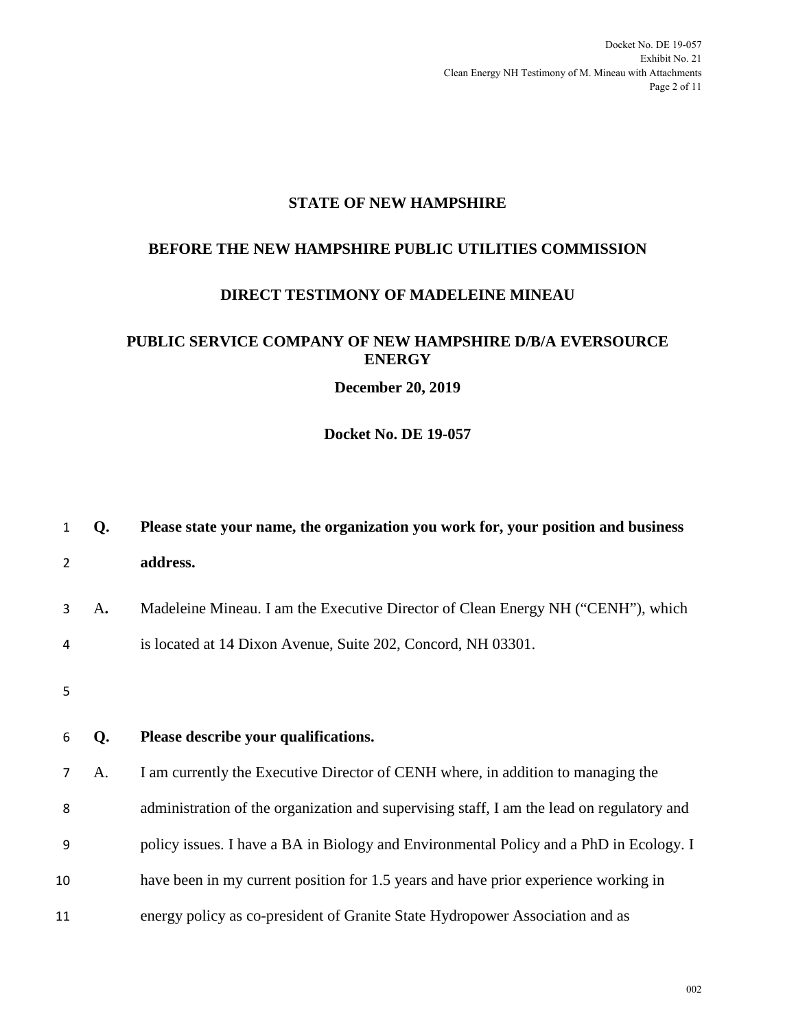# **STATE OF NEW HAMPSHIRE**

# **BEFORE THE NEW HAMPSHIRE PUBLIC UTILITIES COMMISSION**

#### **DIRECT TESTIMONY OF MADELEINE MINEAU**

### **PUBLIC SERVICE COMPANY OF NEW HAMPSHIRE D/B/A EVERSOURCE ENERGY**

**December 20, 2019** 

**Docket No. DE 19-057** 

| 1  | Q. | Please state your name, the organization you work for, your position and business         |
|----|----|-------------------------------------------------------------------------------------------|
| 2  |    | address.                                                                                  |
| 3  | A. | Madeleine Mineau. I am the Executive Director of Clean Energy NH ("CENH"), which          |
| 4  |    | is located at 14 Dixon Avenue, Suite 202, Concord, NH 03301.                              |
| 5  |    |                                                                                           |
| 6  |    |                                                                                           |
|    | Q. | Please describe your qualifications.                                                      |
| 7  | A. | I am currently the Executive Director of CENH where, in addition to managing the          |
| 8  |    | administration of the organization and supervising staff, I am the lead on regulatory and |
| 9  |    | policy issues. I have a BA in Biology and Environmental Policy and a PhD in Ecology. I    |
| 10 |    | have been in my current position for 1.5 years and have prior experience working in       |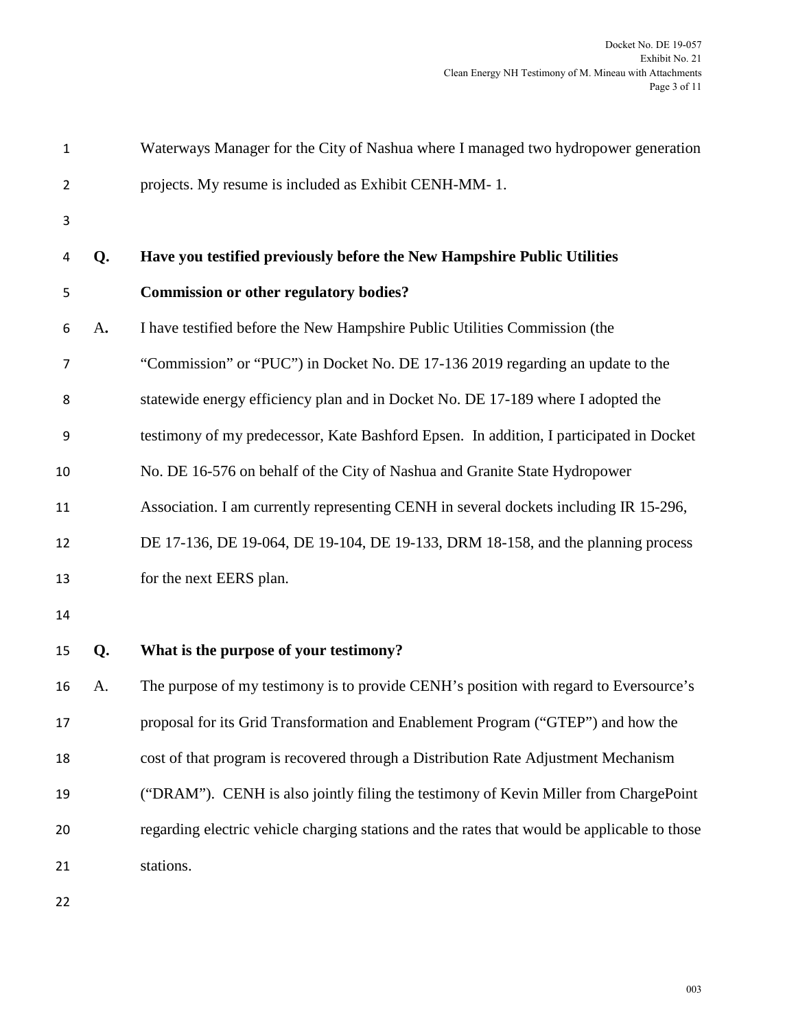| $\mathbf{1}$   |    | Waterways Manager for the City of Nashua where I managed two hydropower generation           |
|----------------|----|----------------------------------------------------------------------------------------------|
| $\overline{2}$ |    | projects. My resume is included as Exhibit CENH-MM-1.                                        |
| 3              |    |                                                                                              |
| 4              | Q. | Have you testified previously before the New Hampshire Public Utilities                      |
| 5              |    | <b>Commission or other regulatory bodies?</b>                                                |
| 6              | A. | I have testified before the New Hampshire Public Utilities Commission (the                   |
| 7              |    | "Commission" or "PUC") in Docket No. DE 17-136 2019 regarding an update to the               |
| 8              |    | statewide energy efficiency plan and in Docket No. DE 17-189 where I adopted the             |
| 9              |    | testimony of my predecessor, Kate Bashford Epsen. In addition, I participated in Docket      |
| 10             |    | No. DE 16-576 on behalf of the City of Nashua and Granite State Hydropower                   |
| 11             |    | Association. I am currently representing CENH in several dockets including IR 15-296,        |
| 12             |    | DE 17-136, DE 19-064, DE 19-104, DE 19-133, DRM 18-158, and the planning process             |
| 13             |    | for the next EERS plan.                                                                      |
| 14             |    |                                                                                              |
| 15             | Q. | What is the purpose of your testimony?                                                       |
| 16             | A. | The purpose of my testimony is to provide CENH's position with regard to Eversource's        |
| 17             |    | proposal for its Grid Transformation and Enablement Program ("GTEP") and how the             |
| 18             |    | cost of that program is recovered through a Distribution Rate Adjustment Mechanism           |
| 19             |    | ("DRAM"). CENH is also jointly filing the testimony of Kevin Miller from ChargePoint         |
| 20             |    | regarding electric vehicle charging stations and the rates that would be applicable to those |
| 21             |    | stations.                                                                                    |
| 22             |    |                                                                                              |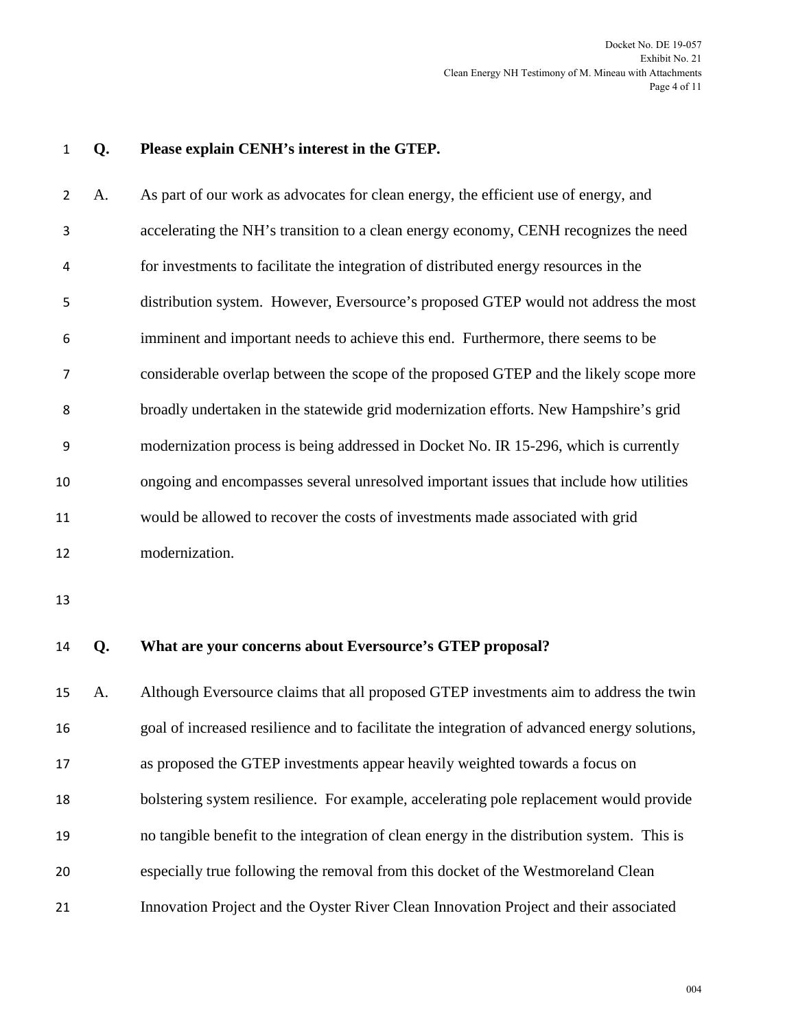#### **Q. Please explain CENH's interest in the GTEP.**

A. As part of our work as advocates for clean energy, the efficient use of energy, and accelerating the NH's transition to a clean energy economy, CENH recognizes the need for investments to facilitate the integration of distributed energy resources in the distribution system. However, Eversource's proposed GTEP would not address the most imminent and important needs to achieve this end. Furthermore, there seems to be considerable overlap between the scope of the proposed GTEP and the likely scope more broadly undertaken in the statewide grid modernization efforts. New Hampshire's grid modernization process is being addressed in Docket No. IR 15-296, which is currently ongoing and encompasses several unresolved important issues that include how utilities would be allowed to recover the costs of investments made associated with grid modernization.

**Q. What are your concerns about Eversource's GTEP proposal?** 

A. Although Eversource claims that all proposed GTEP investments aim to address the twin goal of increased resilience and to facilitate the integration of advanced energy solutions, as proposed the GTEP investments appear heavily weighted towards a focus on bolstering system resilience. For example, accelerating pole replacement would provide no tangible benefit to the integration of clean energy in the distribution system. This is especially true following the removal from this docket of the Westmoreland Clean Innovation Project and the Oyster River Clean Innovation Project and their associated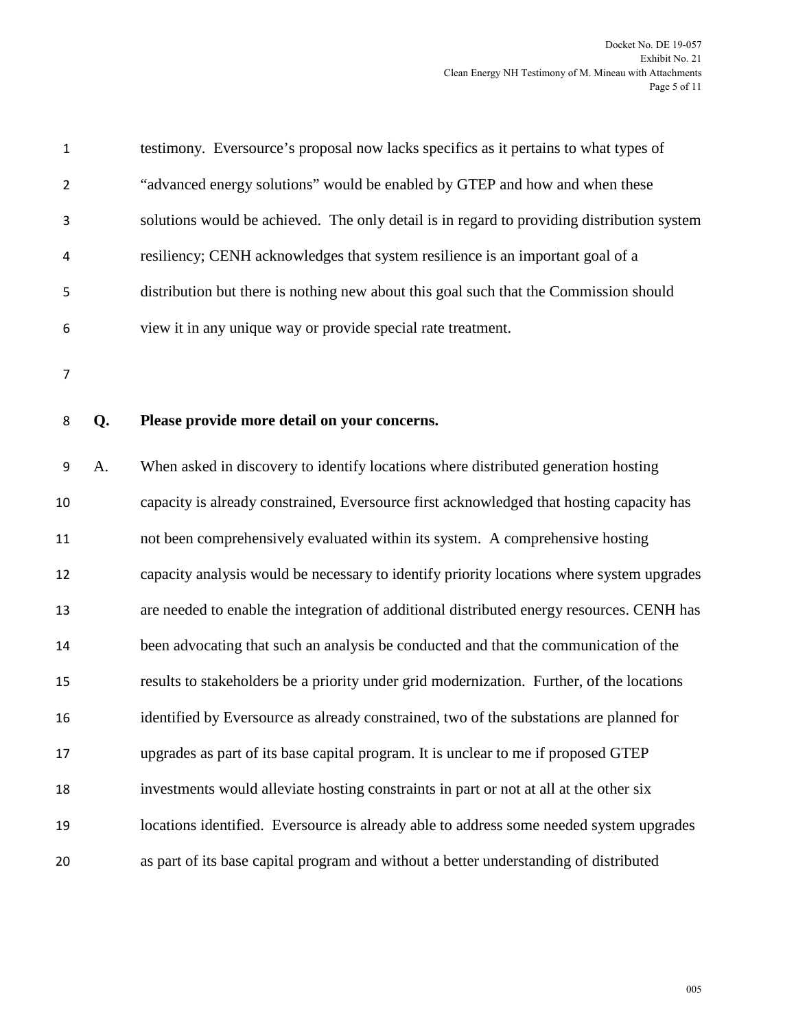| 1 | testimony. Eversource's proposal now lacks specifics as it pertains to what types of       |
|---|--------------------------------------------------------------------------------------------|
| 2 | "advanced energy solutions" would be enabled by GTEP and how and when these                |
| 3 | solutions would be achieved. The only detail is in regard to providing distribution system |
| 4 | resiliency; CENH acknowledges that system resilience is an important goal of a             |
| 5 | distribution but there is nothing new about this goal such that the Commission should      |
| 6 | view it in any unique way or provide special rate treatment.                               |

#### **Q. Please provide more detail on your concerns.**

A. When asked in discovery to identify locations where distributed generation hosting capacity is already constrained, Eversource first acknowledged that hosting capacity has not been comprehensively evaluated within its system. A comprehensive hosting capacity analysis would be necessary to identify priority locations where system upgrades are needed to enable the integration of additional distributed energy resources. CENH has been advocating that such an analysis be conducted and that the communication of the results to stakeholders be a priority under grid modernization. Further, of the locations identified by Eversource as already constrained, two of the substations are planned for upgrades as part of its base capital program. It is unclear to me if proposed GTEP investments would alleviate hosting constraints in part or not at all at the other six locations identified. Eversource is already able to address some needed system upgrades as part of its base capital program and without a better understanding of distributed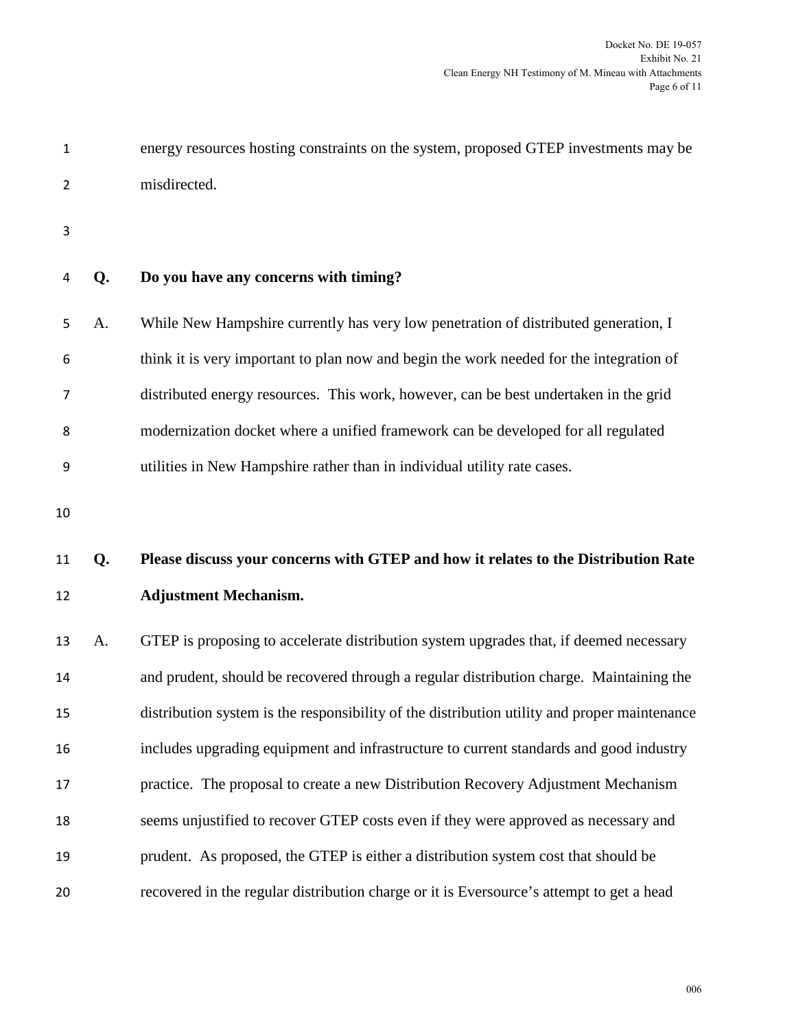| $\mathbf{1}$   |    | energy resources hosting constraints on the system, proposed GTEP investments may be         |
|----------------|----|----------------------------------------------------------------------------------------------|
| $\overline{2}$ |    | misdirected.                                                                                 |
| 3              |    |                                                                                              |
| 4              | Q. | Do you have any concerns with timing?                                                        |
| 5              | A. | While New Hampshire currently has very low penetration of distributed generation, I          |
| 6              |    | think it is very important to plan now and begin the work needed for the integration of      |
| 7              |    | distributed energy resources. This work, however, can be best undertaken in the grid         |
| 8              |    | modernization docket where a unified framework can be developed for all regulated            |
| 9              |    | utilities in New Hampshire rather than in individual utility rate cases.                     |
| 10             |    |                                                                                              |
|                |    |                                                                                              |
| 11             | Q. | Please discuss your concerns with GTEP and how it relates to the Distribution Rate           |
| 12             |    | <b>Adjustment Mechanism.</b>                                                                 |
| 13             | A. | GTEP is proposing to accelerate distribution system upgrades that, if deemed necessary       |
| 14             |    | and prudent, should be recovered through a regular distribution charge. Maintaining the      |
| 15             |    | distribution system is the responsibility of the distribution utility and proper maintenance |
| 16             |    | includes upgrading equipment and infrastructure to current standards and good industry       |
| 17             |    | practice. The proposal to create a new Distribution Recovery Adjustment Mechanism            |
| 18             |    | seems unjustified to recover GTEP costs even if they were approved as necessary and          |
| 19             |    | prudent. As proposed, the GTEP is either a distribution system cost that should be           |
| 20             |    | recovered in the regular distribution charge or it is Eversource's attempt to get a head     |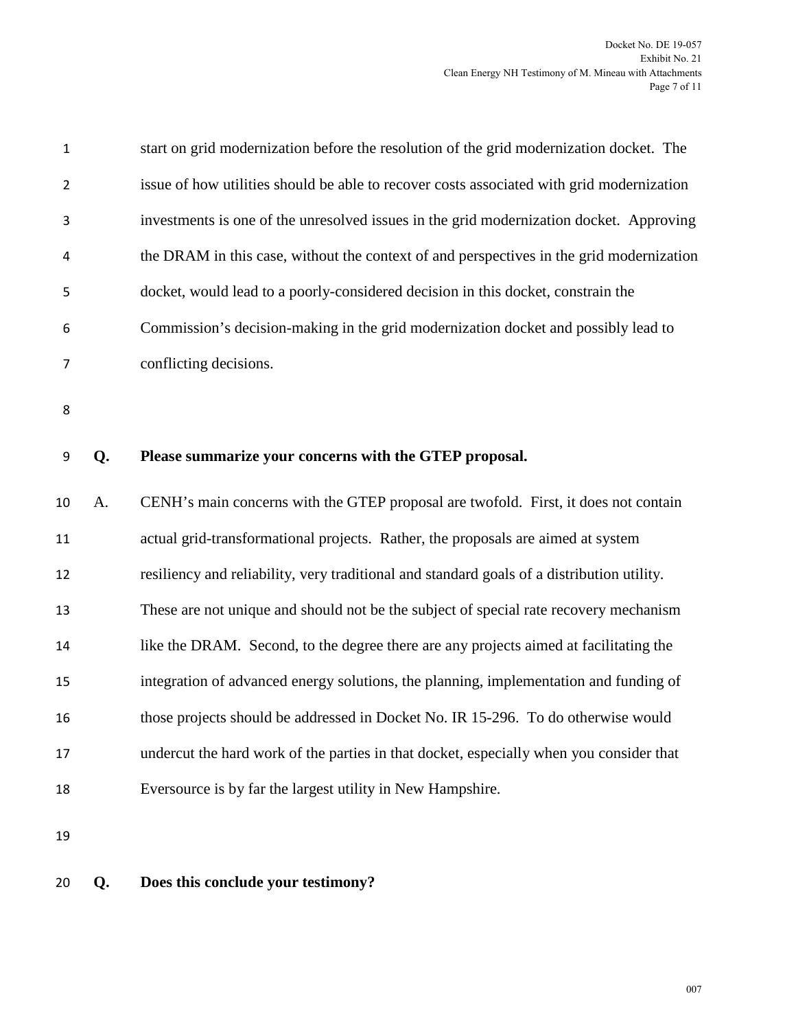| $\mathbf 1$    |    | start on grid modernization before the resolution of the grid modernization docket. The    |
|----------------|----|--------------------------------------------------------------------------------------------|
| $\overline{2}$ |    | issue of how utilities should be able to recover costs associated with grid modernization  |
| 3              |    | investments is one of the unresolved issues in the grid modernization docket. Approving    |
| 4              |    | the DRAM in this case, without the context of and perspectives in the grid modernization   |
| 5              |    | docket, would lead to a poorly-considered decision in this docket, constrain the           |
| 6              |    | Commission's decision-making in the grid modernization docket and possibly lead to         |
| 7              |    | conflicting decisions.                                                                     |
| 8              |    |                                                                                            |
|                |    |                                                                                            |
| 9              | Q. | Please summarize your concerns with the GTEP proposal.                                     |
| 10             | A. | CENH's main concerns with the GTEP proposal are twofold. First, it does not contain        |
| 11             |    | actual grid-transformational projects. Rather, the proposals are aimed at system           |
| 12             |    | resiliency and reliability, very traditional and standard goals of a distribution utility. |
| 13             |    | These are not unique and should not be the subject of special rate recovery mechanism      |
| 14             |    | like the DRAM. Second, to the degree there are any projects aimed at facilitating the      |
| 15             |    | integration of advanced energy solutions, the planning, implementation and funding of      |
| 16             |    | those projects should be addressed in Docket No. IR 15-296. To do otherwise would          |
| 17             |    | undercut the hard work of the parties in that docket, especially when you consider that    |
| 18             |    |                                                                                            |
|                |    | Eversource is by far the largest utility in New Hampshire.                                 |

**Q. Does this conclude your testimony?**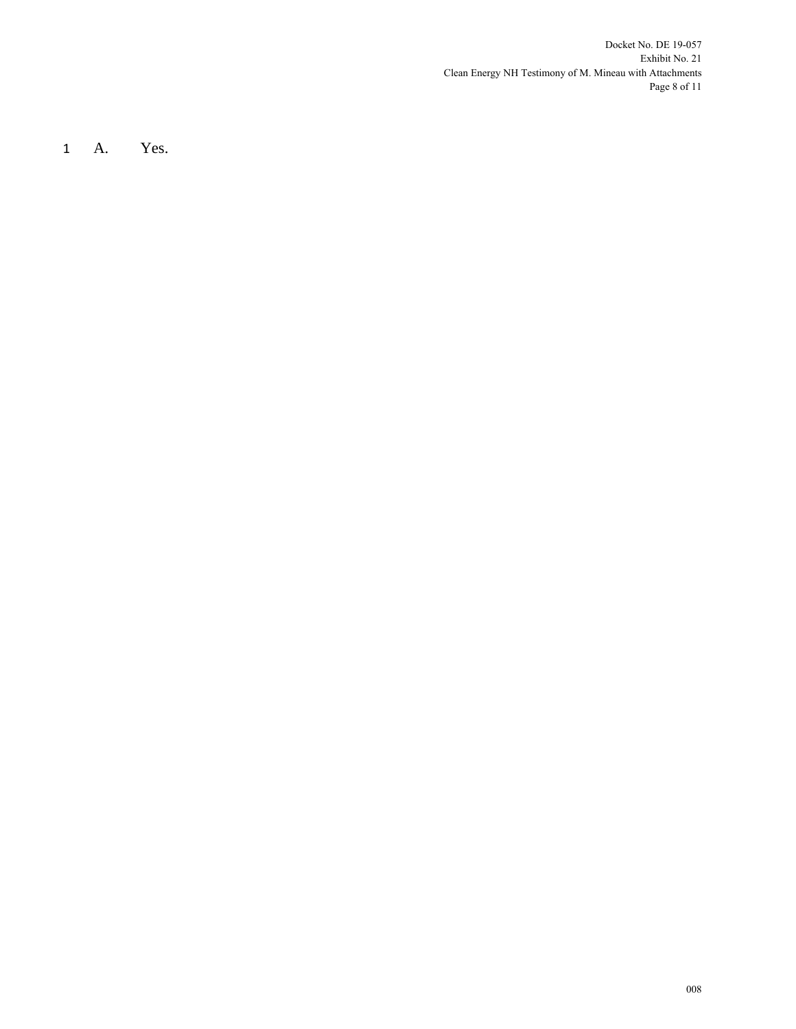Docket No. DE 19-057 Exhibit No. 21 Clean Energy NH Testimony of M. Mineau with Attachments Page 8 of 11

1 A. Yes.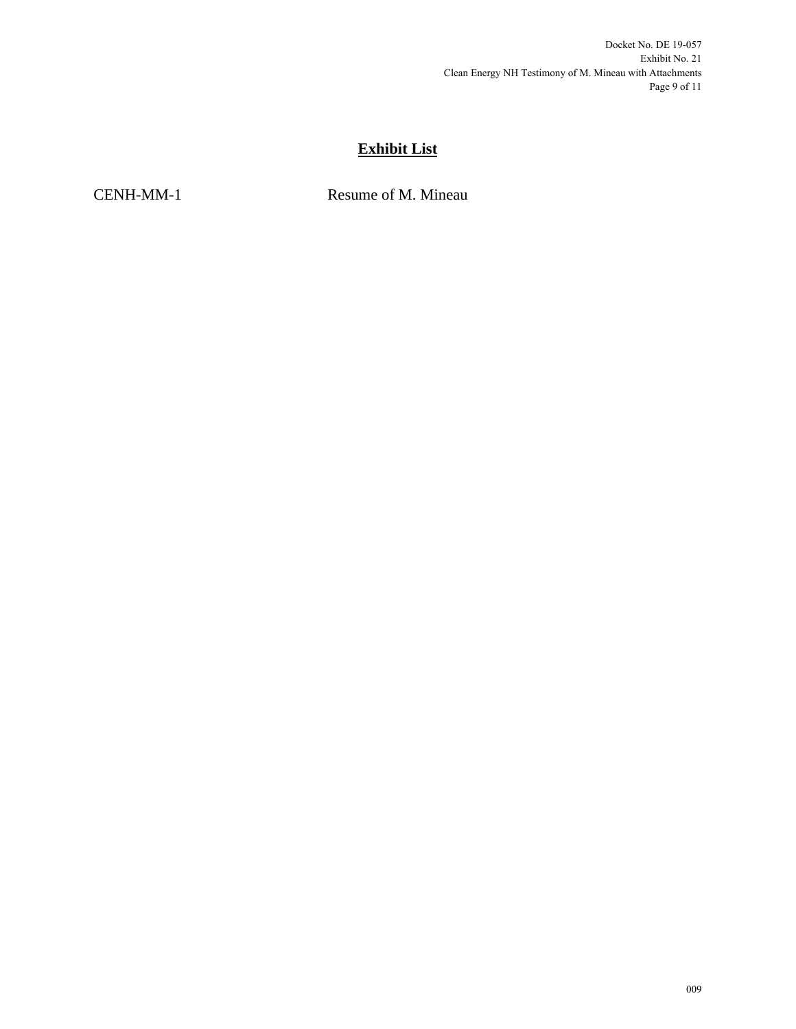# **Exhibit List**

CENH-MM-1 Resume of M. Mineau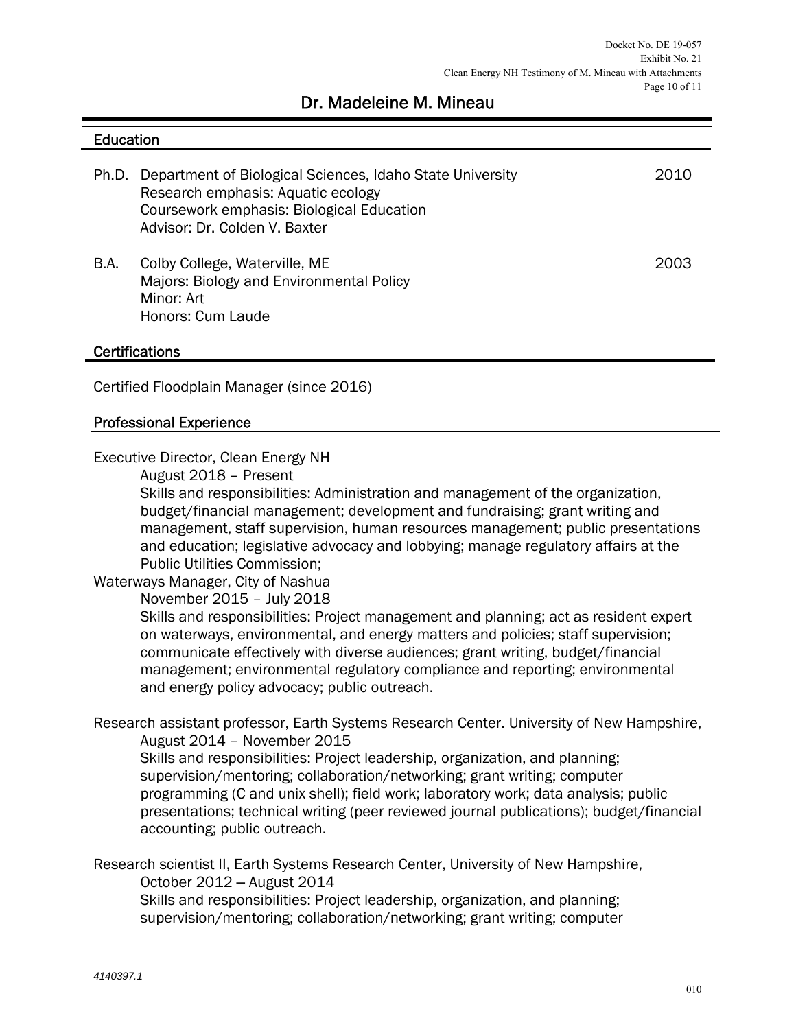# Dr. Madeleine M. Mineau

#### **Education**

|      | Ph.D. Department of Biological Sciences, Idaho State University<br>Research emphasis: Aquatic ecology<br>Coursework emphasis: Biological Education<br>Advisor: Dr. Colden V. Baxter | 2010 |
|------|-------------------------------------------------------------------------------------------------------------------------------------------------------------------------------------|------|
| B.A. | Colby College, Waterville, ME<br>Majors: Biology and Environmental Policy<br>Minor: Art<br>Honors: Cum Laude                                                                        | 2003 |

#### **Certifications**

Certified Floodplain Manager (since 2016)

#### Professional Experience

Executive Director, Clean Energy NH

August 2018 – Present

Skills and responsibilities: Administration and management of the organization, budget/financial management; development and fundraising; grant writing and management, staff supervision, human resources management; public presentations and education; legislative advocacy and lobbying; manage regulatory affairs at the Public Utilities Commission;

#### Waterways Manager, City of Nashua

November 2015 – July 2018

Skills and responsibilities: Project management and planning; act as resident expert on waterways, environmental, and energy matters and policies; staff supervision; communicate effectively with diverse audiences; grant writing, budget/financial management; environmental regulatory compliance and reporting; environmental and energy policy advocacy; public outreach.

Research assistant professor, Earth Systems Research Center. University of New Hampshire, August 2014 – November 2015

Skills and responsibilities: Project leadership, organization, and planning; supervision/mentoring; collaboration/networking; grant writing; computer programming (C and unix shell); field work; laboratory work; data analysis; public presentations; technical writing (peer reviewed journal publications); budget/financial accounting; public outreach.

Research scientist II, Earth Systems Research Center, University of New Hampshire, October 2012 ‒ August 2014

Skills and responsibilities: Project leadership, organization, and planning; supervision/mentoring; collaboration/networking; grant writing; computer